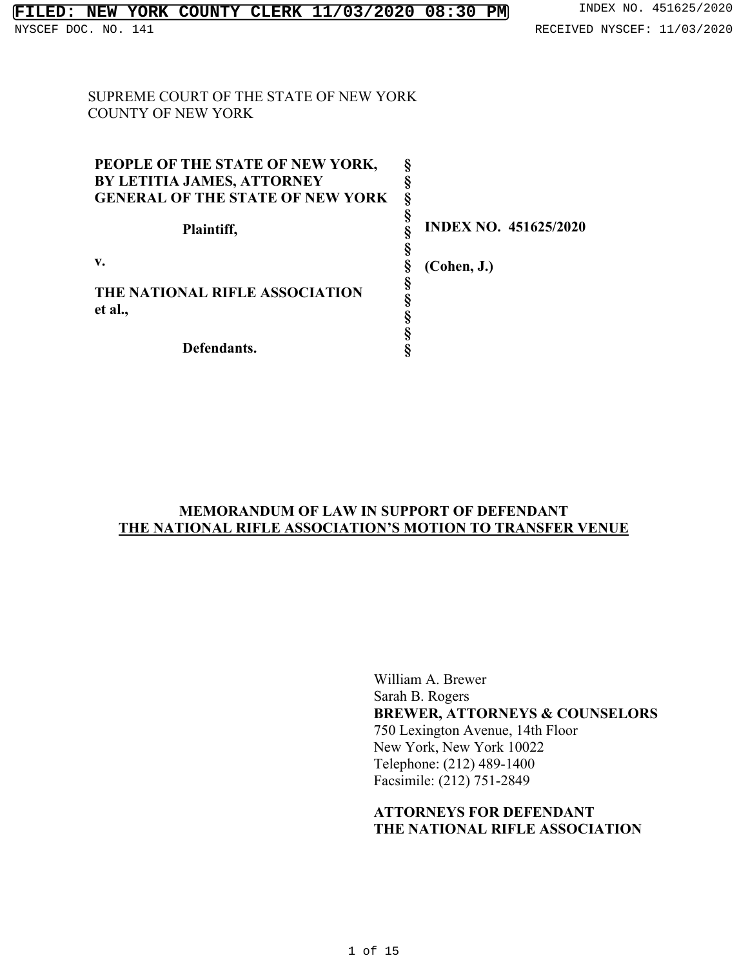SUPREME COURT OF THE STATE OF NEW YORK COUNTY OF NEW YORK

| PEOPLE OF THE STATE OF NEW YORK,          |                              |
|-------------------------------------------|------------------------------|
| BY LETITIA JAMES, ATTORNEY                |                              |
| <b>GENERAL OF THE STATE OF NEW YORK</b>   |                              |
| Plaintiff,                                | <b>INDEX NO. 451625/2020</b> |
| v.                                        | (Cohen, J.)                  |
| THE NATIONAL RIFLE ASSOCIATION<br>et al., |                              |
| Defendants.                               |                              |

### **MEMORANDUM OF LAW IN SUPPORT OF DEFENDANT THE NATIONAL RIFLE ASSOCIATION'S MOTION TO TRANSFER VENUE**

William A. Brewer Sarah B. Rogers **BREWER, ATTORNEYS & COUNSELORS** 750 Lexington Avenue, 14th Floor New York, New York 10022 Telephone: (212) 489-1400 Facsimile: (212) 751-2849

## **ATTORNEYS FOR DEFENDANT THE NATIONAL RIFLE ASSOCIATION**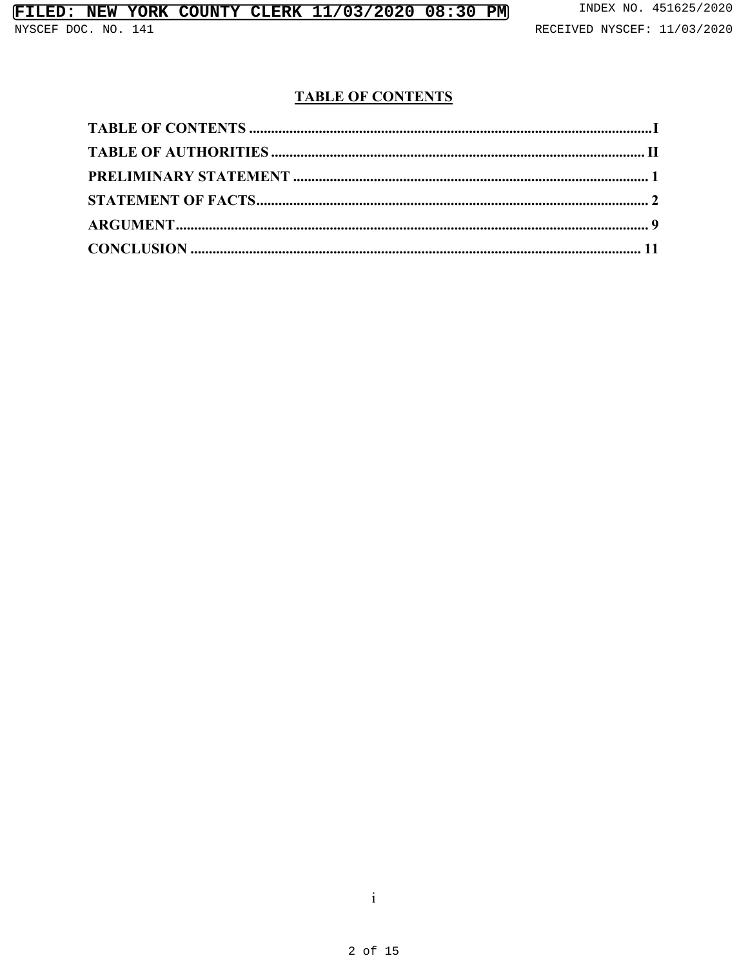# **TABLE OF CONTENTS**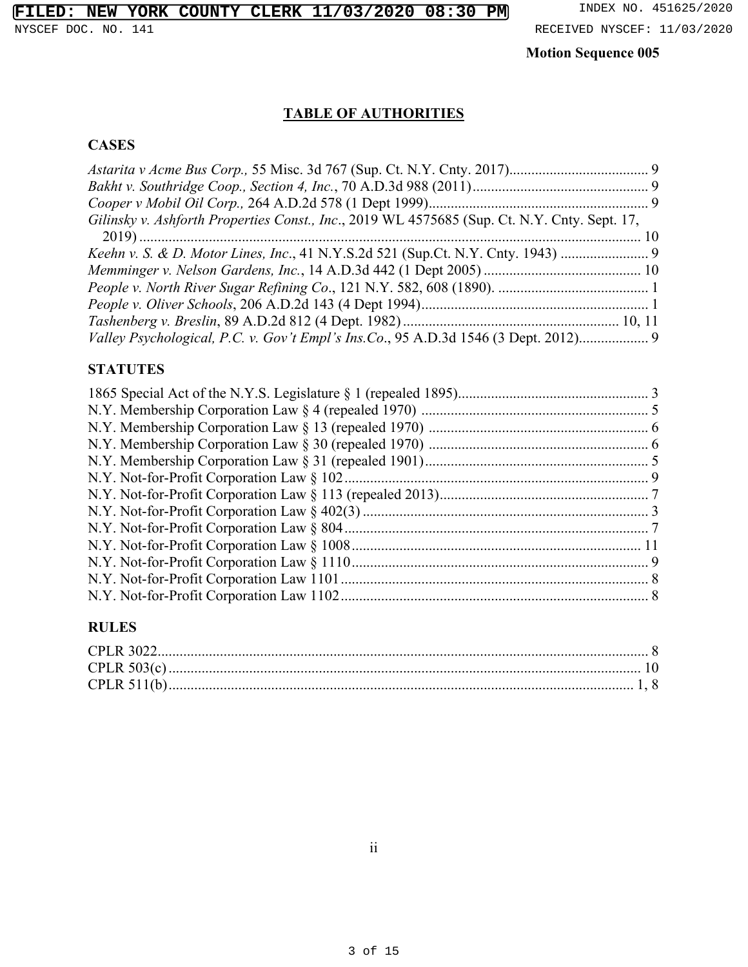# **TABLE OF AUTHORITIES**

# **CASES**

| Gilinsky v. Ashforth Properties Const., Inc., 2019 WL 4575685 (Sup. Ct. N.Y. Cnty. Sept. 17, |  |
|----------------------------------------------------------------------------------------------|--|
|                                                                                              |  |
|                                                                                              |  |
|                                                                                              |  |
|                                                                                              |  |
|                                                                                              |  |
|                                                                                              |  |
| Valley Psychological, P.C. v. Gov't Empl's Ins.Co., 95 A.D.3d 1546 (3 Dept. 2012) 9          |  |

## **STATUTES**

# **RULES**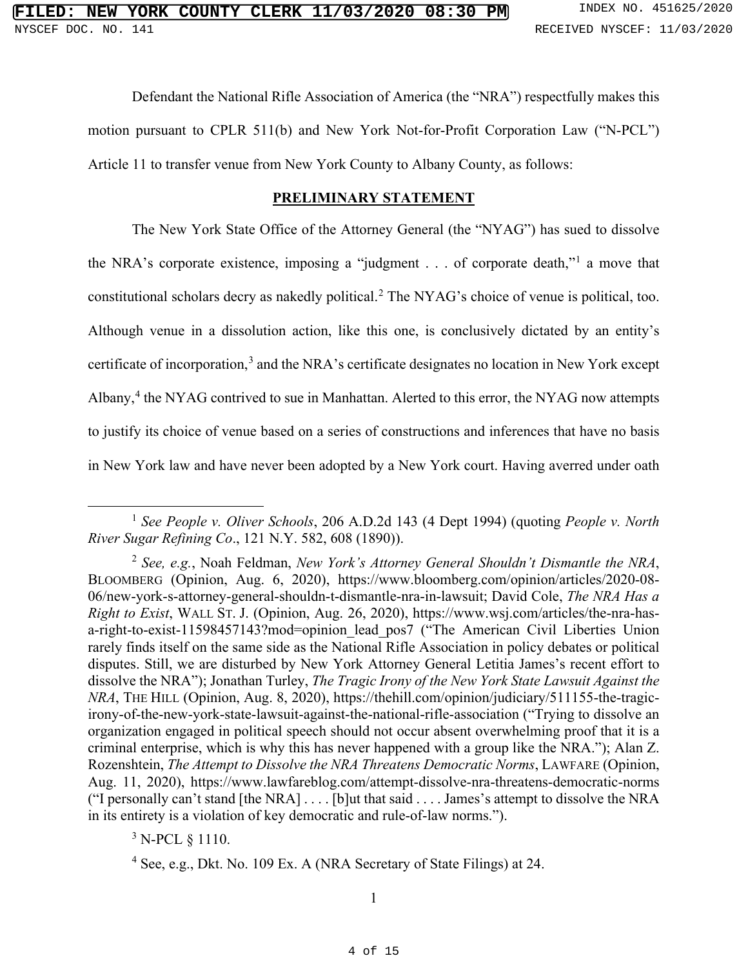Defendant the National Rifle Association of America (the "NRA") respectfully makes this motion pursuant to CPLR 511(b) and New York Not-for-Profit Corporation Law ("N-PCL") Article 11 to transfer venue from New York County to Albany County, as follows:

### **PRELIMINARY STATEMENT**

The New York State Office of the Attorney General (the "NYAG") has sued to dissolve the NRA's corporate existence, imposing a "judgment . . . of corporate death,"<sup>[1](#page--1-4)</sup> a move that constitutional scholars decry as nakedly political.[2](#page--1-5) The NYAG's choice of venue is political, too. Although venue in a dissolution action, like this one, is conclusively dictated by an entity's certificate of incorporation,<sup>[3](#page--1-6)</sup> and the NRA's certificate designates no location in New York except Albany,<sup>[4](#page--1-7)</sup> the NYAG contrived to sue in Manhattan. Alerted to this error, the NYAG now attempts to justify its choice of venue based on a series of constructions and inferences that have no basis in New York law and have never been adopted by a New York court. Having averred under oath

 $3$  N-PCL  $\S$  1110.

<sup>1</sup> *See People v. Oliver Schools*[, 206 A.D.2d 143 \(4 Dept 1994\)](https://1.next.westlaw.com/Document/I71fa55a7da1511d983e7e9deff98dc6f/View/FullText.html?transitionType=UniqueDocItem&contextData=(sc.Default)&userEnteredCitation=206+A.D.2d+143) (quoting *[People v. North](https://1.next.westlaw.com/Document/I7f6073e7d7aa11d983e7e9deff98dc6f/View/FullText.html?transitionType=UniqueDocItem&contextData=(sc.UserEnteredCitation)&userEnteredCitation=121+N.Y.+582)  River Sugar Refining Co*[., 121 N.Y. 582, 608 \(1890\)\)](https://1.next.westlaw.com/Document/I7f6073e7d7aa11d983e7e9deff98dc6f/View/FullText.html?transitionType=UniqueDocItem&contextData=(sc.UserEnteredCitation)&userEnteredCitation=121+N.Y.+582).

<sup>2</sup> *See, e.g.*, Noah Feldman, *New York's Attorney General Shouldn't Dismantle the NRA*, BLOOMBERG (Opinion, Aug. 6, 2020), [https://www.bloomberg.com/opinion/articles/2020-08-](https://www.bloomberg.com/opinion/articles/2020-08-06/new-york-s-attorney-general-shouldn-t-dismantle-nra-in-lawsuit) [06/new-york-s-attorney-general-shouldn-t-dismantle-nra-in-lawsuit;](https://www.bloomberg.com/opinion/articles/2020-08-06/new-york-s-attorney-general-shouldn-t-dismantle-nra-in-lawsuit) David Cole, *The NRA Has a Right to Exist*, WALL ST. J. (Opinion, Aug. 26, 2020), [https://www.wsj.com/articles/the-nra-has](https://www.wsj.com/articles/the-nra-has-a-right-to-exist-11598457143?mod=opinion_lead_pos7)[a-right-to-exist-11598457143?mod=opinion\\_lead\\_pos7](https://www.wsj.com/articles/the-nra-has-a-right-to-exist-11598457143?mod=opinion_lead_pos7) ("The American Civil Liberties Union rarely finds itself on the same side as the National Rifle Association in policy debates or political disputes. Still, we are disturbed by New York Attorney General Letitia James's recent effort to dissolve the NRA"); Jonathan Turley, *The Tragic Irony of the New York State Lawsuit Against the NRA*, THE HILL (Opinion, Aug. 8, 2020), [https://thehill.com/opinion/judiciary/511155-the-tragic](https://thehill.com/opinion/judiciary/511155-the-tragic-irony-of-the-new-york-state-lawsuit-against-the-national-rifle-association)[irony-of-the-new-york-state-lawsuit-against-the-national-rifle-association](https://thehill.com/opinion/judiciary/511155-the-tragic-irony-of-the-new-york-state-lawsuit-against-the-national-rifle-association) ("Trying to dissolve an organization engaged in political speech should not occur absent overwhelming proof that it is a criminal enterprise, which is why this has never happened with a group like the NRA."); Alan Z. Rozenshtein, *The Attempt to Dissolve the NRA Threatens Democratic Norms*, LAWFARE (Opinion, Aug. 11, 2020),<https://www.lawfareblog.com/attempt-dissolve-nra-threatens-democratic-norms> ("I personally can't stand [the NRA] . . . . [b]ut that said . . . . James's attempt to dissolve the NRA in its entirety is a violation of key democratic and rule-of-law norms.").

<sup>&</sup>lt;sup>4</sup> [See, e.g., Dkt. No. 109 Ex. A \(NRA Secretary of State Filings\) at 24.](https://iapps.courts.state.ny.us/nyscef/ViewDocument?docIndex=8DjuaeV84CbGmzbiyuVQPA==)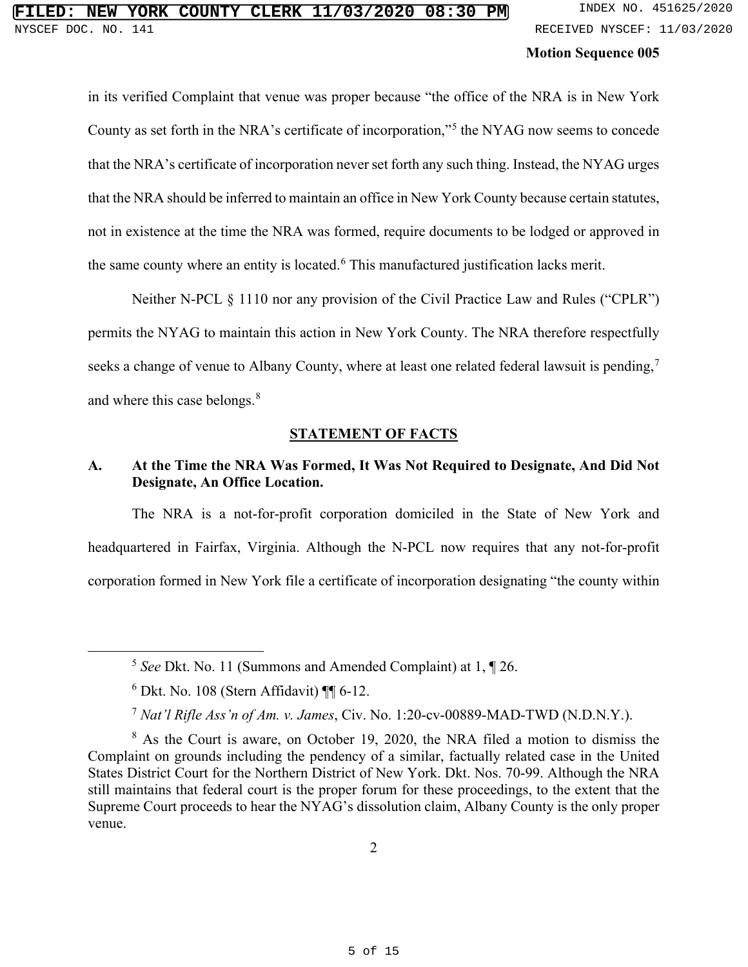in its verified Complaint that venue was proper because "the office of the NRA is in New York County as set forth in the NRA's certificate of incorporation,"[5](#page--1-8) the NYAG now seems to concede that the NRA's certificate of incorporation never set forth any such thing. Instead, the NYAG urges that the NRA should be inferred to maintain an office in New York County because certain statutes, not in existence at the time the NRA was formed, require documents to be lodged or approved in the same county where an entity is located.<sup>[6](#page--1-9)</sup> This manufactured justification lacks merit.

Neither N-PCL § 1110 nor any provision of the Civil Practice Law and Rules ("CPLR") permits the NYAG to maintain this action in New York County. The NRA therefore respectfully seeks a change of venue to Albany County, where at least one related federal lawsuit is pending,<sup>[7](#page--1-10)</sup> and where this case belongs.<sup>[8](#page--1-11)</sup>

### **STATEMENT OF FACTS**

# **A. At the Time the NRA Was Formed, It Was Not Required to Designate, And Did Not Designate, An Office Location.**

The NRA is a not-for-profit corporation domiciled in the State of New York and headquartered in Fairfax, Virginia. Although the N-PCL now requires that any not-for-profit corporation formed in New York file a certificate of incorporation designating "the county within

<sup>5</sup> *See* [Dkt. No. 11 \(Summons and Amended Complaint\) at 1, ¶ 26.](https://iapps.courts.state.ny.us/nyscef/ViewDocument?docIndex=KVNhmRfBMpyaSdi87Ydb4w==)

 $6$  Dkt. No. 108 (Stern Affidavit)  $\P$  6-12.

<sup>7</sup> *Nat'l Rifle Ass'n of Am. v. James*, Civ. No. 1:20-cv-00889-MAD-TWD (N.D.N.Y.).

<sup>8</sup> As the Court is aware, on October 19, 2020, the NRA filed a motion to dismiss the Complaint on grounds including the pendency of a similar, factually related case in the United States District Court for the Northern District of New York. [Dkt. Nos. 70-99.](https://iapps.courts.state.ny.us/nyscef/DocumentList?docketId=pahf9IBZzF/pYP8WVQ4Sfw==&PageNum=2&narrow=) Although the NRA still maintains that federal court is the proper forum for these proceedings, to the extent that the Supreme Court proceeds to hear the NYAG's dissolution claim, Albany County is the only proper venue.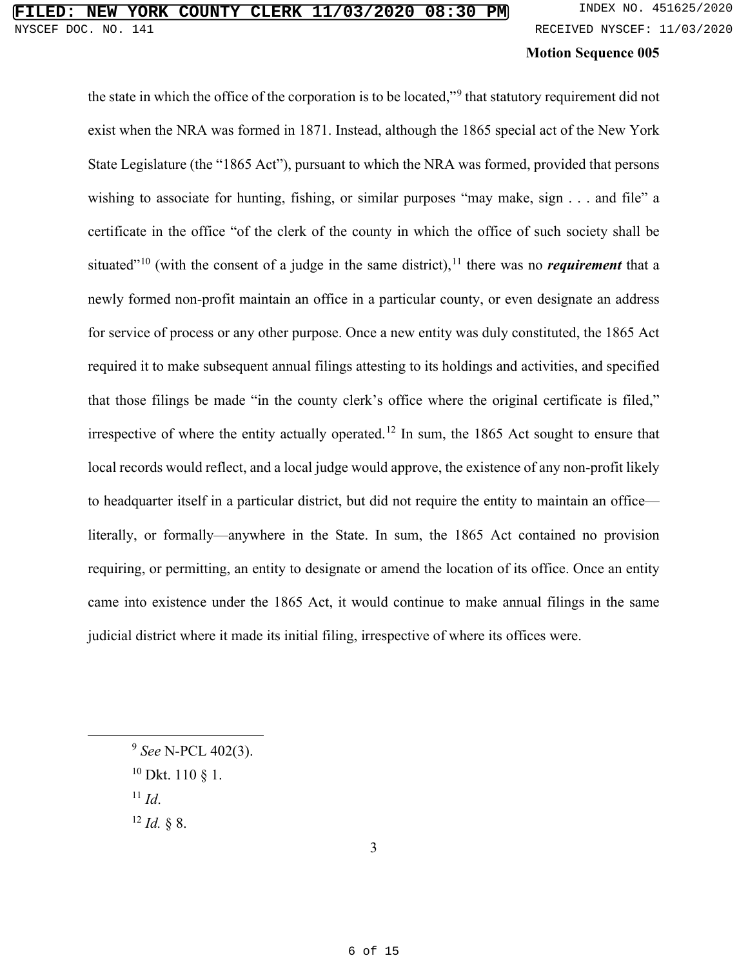the state in which the office of the corporation is to be located,"<sup>[9](#page--1-12)</sup> that statutory requirement did not exist when the NRA was formed in 1871. Instead, although the 1865 special act of the New York State Legislature (the "1865 Act"), pursuant to which the NRA was formed, provided that persons wishing to associate for hunting, fishing, or similar purposes "may make, sign . . . and file" a certificate in the office "of the clerk of the county in which the office of such society shall be situated"<sup>[10](#page--1-13)</sup> (with the consent of a judge in the same district),<sup>[11](#page--1-14)</sup> there was no *requirement* that a newly formed non-profit maintain an office in a particular county, or even designate an address for service of process or any other purpose. Once a new entity was duly constituted, the 1865 Act required it to make subsequent annual filings attesting to its holdings and activities, and specified that those filings be made "in the county clerk's office where the original certificate is filed," irrespective of where the entity actually operated.<sup>[12](#page--1-15)</sup> In sum, the 1865 Act sought to ensure that local records would reflect, and a local judge would approve, the existence of any non-profit likely to headquarter itself in a particular district, but did not require the entity to maintain an office literally, or formally—anywhere in the State. In sum, the 1865 Act contained no provision requiring, or permitting, an entity to designate or amend the location of its office. Once an entity came into existence under the 1865 Act, it would continue to make annual filings in the same judicial district where it made its initial filing, irrespective of where its offices were.

 $11$  *[Id](https://iapps.courts.state.ny.us/nyscef/ViewDocument?docIndex=anBJFLtLeRsAWmgexYeUEg==).* 

<sup>12</sup> *Id.* [§ 8.](https://iapps.courts.state.ny.us/nyscef/ViewDocument?docIndex=anBJFLtLeRsAWmgexYeUEg==)

<sup>9</sup> *See* N-PCL 402(3).

 $10$  Dkt. 110 § 1.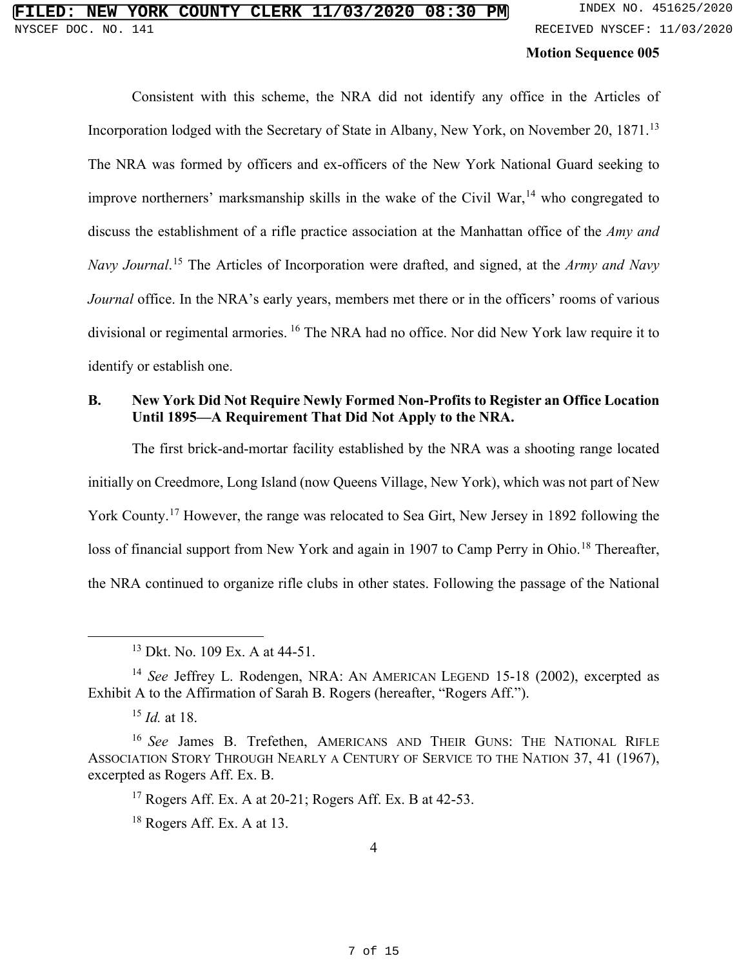Consistent with this scheme, the NRA did not identify any office in the Articles of Incorporation lodged with the Secretary of State in Albany, New York, on November 20, 1871.<sup>[13](#page--1-16)</sup> The NRA was formed by officers and ex-officers of the New York National Guard seeking to improve northerners' marksmanship skills in the wake of the Civil War,  $14$  who congregated to discuss the establishment of a rifle practice association at the Manhattan office of the *Amy and Navy Journal*. [15](#page--1-18) The Articles of Incorporation were drafted, and signed, at the *Army and Navy Journal* office. In the NRA's early years, members met there or in the officers' rooms of various divisional or regimental armories. [16](#page--1-19) The NRA had no office. Nor did New York law require it to identify or establish one.

## **B. New York Did Not Require Newly Formed Non-Profits to Register an Office Location Until 1895—A Requirement That Did Not Apply to the NRA.**

The first brick-and-mortar facility established by the NRA was a shooting range located initially on Creedmore, Long Island (now Queens Village, New York), which was not part of New York County.<sup>[17](#page--1-14)</sup> However, the range was relocated to Sea Girt, New Jersey in 1892 following the loss of financial support from New York and again in 1907 to Camp Perry in Ohio.<sup>[18](#page--1-15)</sup> Thereafter, the NRA continued to organize rifle clubs in other states. Following the passage of the National

<sup>13</sup> [Dkt. No. 109 Ex. A at 44-51.](https://iapps.courts.state.ny.us/nyscef/ViewDocument?docIndex=8DjuaeV84CbGmzbiyuVQPA==) 

<sup>&</sup>lt;sup>14</sup> *See* Jeffrey L. Rodengen, NRA: AN AMERICAN LEGEND 15-18 (2002), excerpted as Exhibit A to the Affirmation of Sarah B. Rogers (hereafter, "Rogers Aff.").

<sup>15</sup> *Id.* at 18.

<sup>16</sup> *See* James B. Trefethen, AMERICANS AND THEIR GUNS: THE NATIONAL RIFLE ASSOCIATION STORY THROUGH NEARLY A CENTURY OF SERVICE TO THE NATION 37, 41 (1967), excerpted as Rogers Aff. Ex. B.

 $17$  Rogers Aff. Ex. A at 20-21; Rogers Aff. Ex. B at 42-53.

<sup>&</sup>lt;sup>18</sup> Rogers Aff. Ex. A at 13.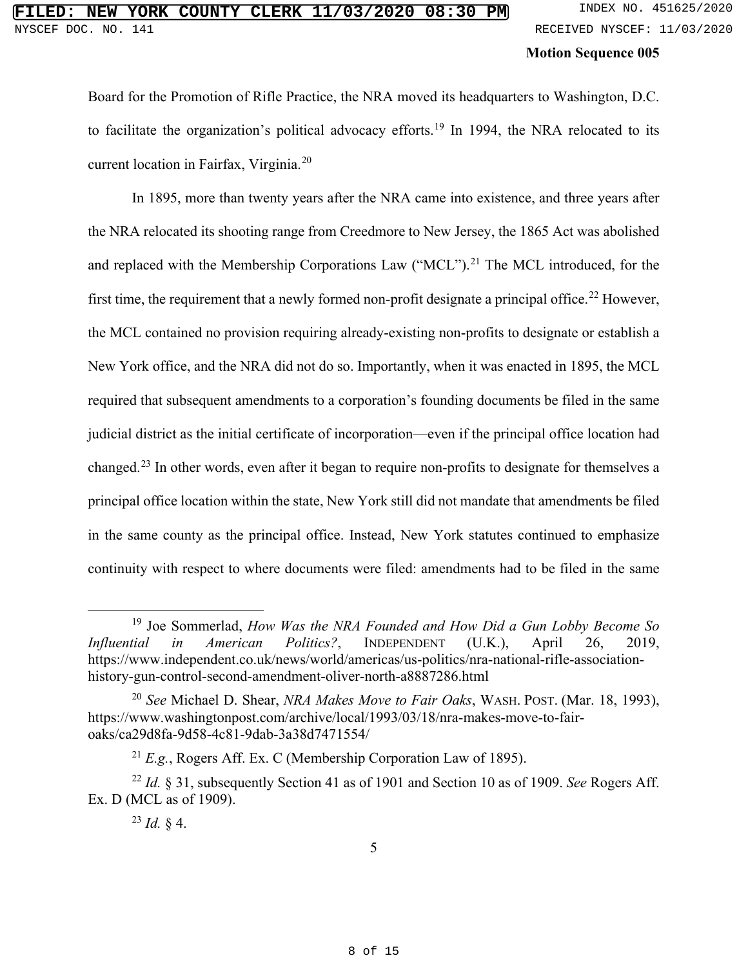Board for the Promotion of Rifle Practice, the NRA moved its headquarters to Washington, D.C. to facilitate the organization's political advocacy efforts.<sup>[19](#page--1-20)</sup> In 1994, the NRA relocated to its current location in Fairfax, Virginia.[20](#page--1-21)

In 1895, more than twenty years after the NRA came into existence, and three years after the NRA relocated its shooting range from Creedmore to New Jersey, the 1865 Act was abolished and replaced with the Membership Corporations Law ("MCL").<sup>[21](#page--1-22)</sup> The MCL introduced, for the first time, the requirement that a newly formed non-profit designate a principal office.<sup>[22](#page--1-23)</sup> However, the MCL contained no provision requiring already-existing non-profits to designate or establish a New York office, and the NRA did not do so. Importantly, when it was enacted in 1895, the MCL required that subsequent amendments to a corporation's founding documents be filed in the same judicial district as the initial certificate of incorporation—even if the principal office location had changed.[23](#page--1-15) In other words, even after it began to require non-profits to designate for themselves a principal office location within the state, New York still did not mandate that amendments be filed in the same county as the principal office. Instead, New York statutes continued to emphasize continuity with respect to where documents were filed: amendments had to be filed in the same

<sup>19</sup> Joe Sommerlad, *How Was the NRA Founded and How Did a Gun Lobby Become So Influential in American Politics?*, INDEPENDENT (U.K.), April 26, 2019, [https://www.independent.co.uk/news/world/americas/us-politics/nra-national-rifle-association](https://www.independent.co.uk/news/world/americas/us-politics/nra-national-rifle-association-history-gun-control-second-amendment-oliver-north-a8887286.html)[history-gun-control-second-amendment-oliver-north-a8887286.html](https://www.independent.co.uk/news/world/americas/us-politics/nra-national-rifle-association-history-gun-control-second-amendment-oliver-north-a8887286.html)

<sup>20</sup> *See* Michael D. Shear, *NRA Makes Move to Fair Oaks*, WASH. POST. (Mar. 18, 1993), [https://www.washingtonpost.com/archive/local/1993/03/18/nra-makes-move-to-fair](https://www.washingtonpost.com/archive/local/1993/03/18/nra-makes-move-to-fair-oaks/ca29d8fa-9d58-4c81-9dab-3a38d7471554/)[oaks/ca29d8fa-9d58-4c81-9dab-3a38d7471554/](https://www.washingtonpost.com/archive/local/1993/03/18/nra-makes-move-to-fair-oaks/ca29d8fa-9d58-4c81-9dab-3a38d7471554/) 

<sup>21</sup> *E.g.*, Rogers Aff. Ex. C (Membership Corporation Law of 1895).

<sup>22</sup> *Id.* § 31, subsequently Section 41 as of 1901 and Section 10 as of 1909. *See* Rogers Aff. Ex. D (MCL as of 1909).

 $^{23}$  *Id.* § 4.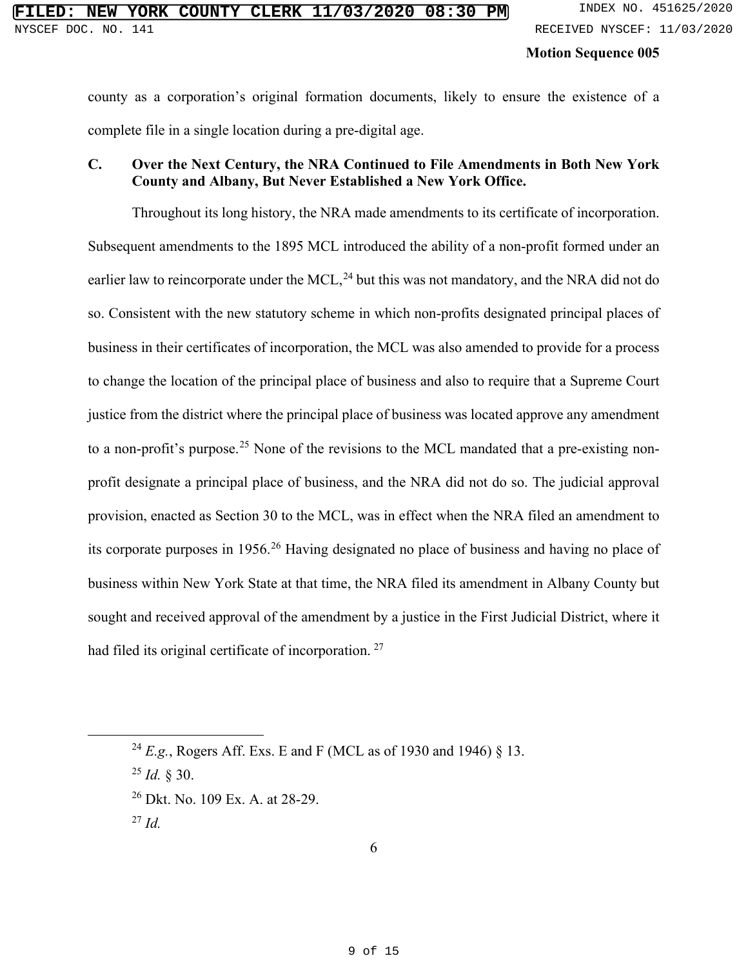county as a corporation's original formation documents, likely to ensure the existence of a complete file in a single location during a pre-digital age.

### **C. Over the Next Century, the NRA Continued to File Amendments in Both New York County and Albany, But Never Established a New York Office.**

Throughout its long history, the NRA made amendments to its certificate of incorporation. Subsequent amendments to the 1895 MCL introduced the ability of a non-profit formed under an earlier law to reincorporate under the MCL, $^{24}$  $^{24}$  $^{24}$  but this was not mandatory, and the NRA did not do so. Consistent with the new statutory scheme in which non-profits designated principal places of business in their certificates of incorporation, the MCL was also amended to provide for a process to change the location of the principal place of business and also to require that a Supreme Court justice from the district where the principal place of business was located approve any amendment to a non-profit's purpose.<sup>[25](#page--1-13)</sup> None of the revisions to the MCL mandated that a pre-existing nonprofit designate a principal place of business, and the NRA did not do so. The judicial approval provision, enacted as Section 30 to the MCL, was in effect when the NRA filed an amendment to its corporate purposes in 1956.[26](#page--1-14) Having designated no place of business and having no place of business within New York State at that time, the NRA filed its amendment in Albany County but sought and received approval of the amendment by a justice in the First Judicial District, where it had filed its original certificate of incorporation.<sup>[27](#page--1-15)</sup>

<sup>24</sup> *E.g.*, Rogers Aff. Exs. E and F (MCL as of 1930 and 1946) § 13.

<sup>25</sup> *Id.* § 30.

<sup>26</sup> [Dkt. No. 109 Ex. A. at 28-29.](https://iapps.courts.state.ny.us/nyscef/ViewDocument?docIndex=8DjuaeV84CbGmzbiyuVQPA==) 

<sup>27</sup> *Id.*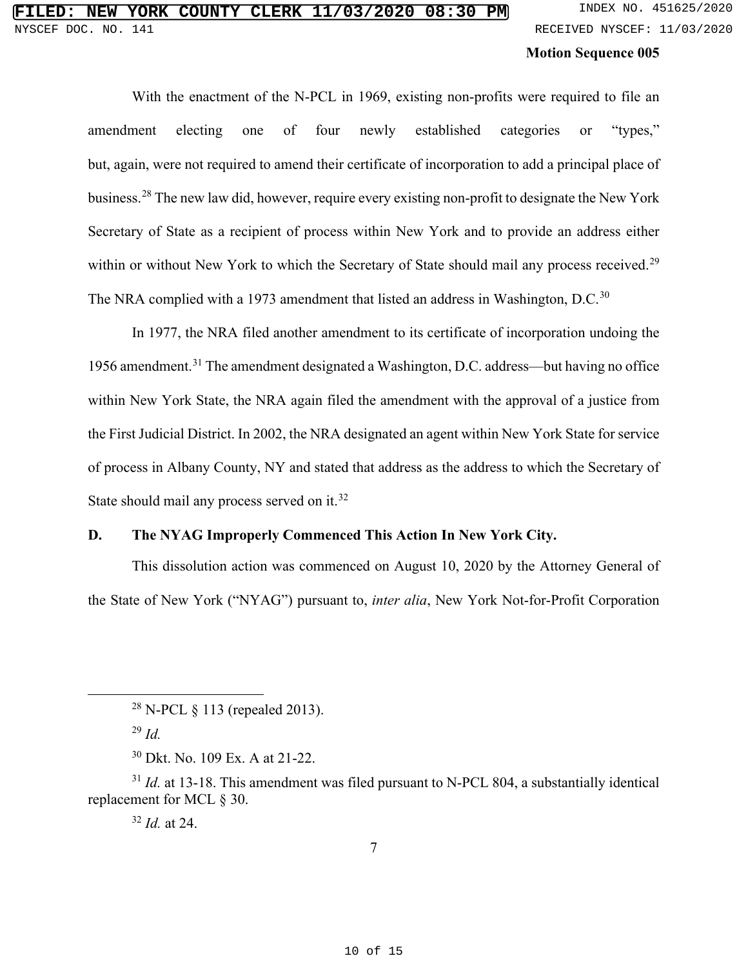# **FIRE COUNTY CLERK 11/03/2020 08:30 PM** INDEX NO. 451625/2020 NYSCEF DOC. NO. 141 **RECEIVED NYSCEF: 11/03/2020**

### **Motion Sequence 005**

With the enactment of the N-PCL in 1969, existing non-profits were required to file an amendment electing one of four newly established categories or "types," but, again, were not required to amend their certificate of incorporation to add a principal place of business.[28](#page--1-24) The new law did, however, require every existing non-profit to designate the New York Secretary of State as a recipient of process within New York and to provide an address either within or without New York to which the Secretary of State should mail any process received.<sup>[29](#page--1-25)</sup> The NRA complied with a 1973 amendment that listed an address in Washington, D.C.<sup>[30](#page--1-22)</sup>

In 1977, the NRA filed another amendment to its certificate of incorporation undoing the 1956 amendment.<sup>[31](#page--1-23)</sup> The amendment designated a Washington, D.C. address—but having no office within New York State, the NRA again filed the amendment with the approval of a justice from the First Judicial District. In 2002, the NRA designated an agent within New York State for service of process in Albany County, NY and stated that address as the address to which the Secretary of State should mail any process served on it.<sup>[32](#page--1-15)</sup>

### **D. The NYAG Improperly Commenced This Action In New York City.**

This dissolution action was commenced on August 10, 2020 by the Attorney General of the State of New York ("NYAG") pursuant to, *inter alia*, New York Not-for-Profit Corporation

<sup>32</sup> *Id.* at 24.

<sup>&</sup>lt;sup>28</sup> N-PCL  $\S$  113 (repealed 2013).

<sup>29</sup> *Id.*

<sup>30</sup> [Dkt. No. 109 Ex. A at 21-22.](https://iapps.courts.state.ny.us/nyscef/ViewDocument?docIndex=8DjuaeV84CbGmzbiyuVQPA==)

<sup>&</sup>lt;sup>31</sup> *Id.* at 13-18. This amendment was filed pursuant to N-PCL 804, a substantially identical replacement for MCL § 30.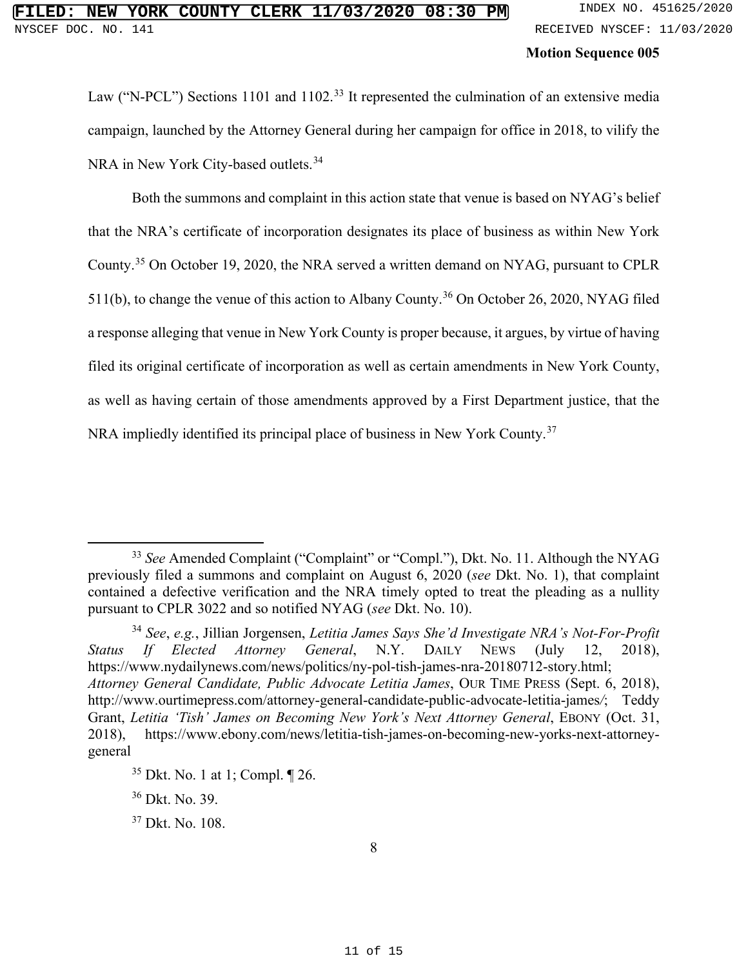Law ("N-PCL") Sections 1101 and 1102.<sup>[33](#page--1-26)</sup> It represented the culmination of an extensive media campaign, launched by the Attorney General during her campaign for office in 2018, to vilify the NRA in New York City-based outlets.<sup>[34](#page--1-27)</sup>

Both the summons and complaint in this action state that venue is based on NYAG's belief that the NRA's certificate of incorporation designates its place of business as within New York County.[35](#page--1-13) On October 19, 2020, the NRA served a written demand on NYAG, pursuant to CPLR 511(b), to change the venue of this action to Albany County.<sup>[36](#page--1-14)</sup> On October 26, 2020, NYAG filed a response alleging that venue in New York County is proper because, it argues, by virtue of having filed its original certificate of incorporation as well as certain amendments in New York County, as well as having certain of those amendments approved by a First Department justice, that the NRA impliedly identified its principal place of business in New York County.<sup>[37](#page--1-15)</sup>

<sup>33</sup> *See* Amended Complaint ("Complaint" or "Compl."), Dkt. No. 11. Although the NYAG previously filed a summons and complaint on August 6, 2020 (*see* Dkt. No. 1), that complaint contained a defective verification and the NRA timely opted to treat the pleading as a nullity pursuant to CPLR 3022 and so notified NYAG (*see* Dkt. No. 10).

<sup>34</sup> *See*, *e.g.*, Jillian Jorgensen, *Letitia James Says She'd Investigate NRA's Not-For-Profit Status If Elected Attorney General*, N.Y. DAILY NEWS (July 12, 2018), [https://www.nydailynews.com/news/politics/ny-pol-tish-james-nra-20180712-story.html;](https://www.nydailynews.com/news/politics/ny-pol-tish-james-nra-20180712-story.html) *Attorney General Candidate, Public Advocate Letitia James*, OUR TIME PRESS (Sept. 6, 2018), [http://www.ourtimepress.com/attorney-general-candidate-public-advocate-letitia-james](http://www.ourtimepress.com/attorney-general-candidate-public-advocate-letitia-james/)*[/](http://www.ourtimepress.com/attorney-general-candidate-public-advocate-letitia-james/)*; Teddy Grant, *Letitia 'Tish' James on Becoming New York's Next Attorney General*, EBONY (Oct. 31, 2018), [https://www.ebony.com/news/letitia-tish-james-on-becoming-new-yorks-next-attorney](https://www.ebony.com/news/letitia-tish-james-on-becoming-new-yorks-next-attorney-general/)[general](https://www.ebony.com/news/letitia-tish-james-on-becoming-new-yorks-next-attorney-general/)

 $35$  Dkt. No. 1 at 1; Compl.  $\P$  26.

<sup>36</sup> [Dkt. No. 39.](https://iapps.courts.state.ny.us/nyscef/ViewDocument?docIndex=X/OWL6BpvFhbAxcJ0sgjUA==) 

<sup>37</sup> [Dkt. No. 108.](https://iapps.courts.state.ny.us/nyscef/ViewDocument?docIndex=dVzVcJ1Kj_PLUS_/h9fBvBRqx0A==)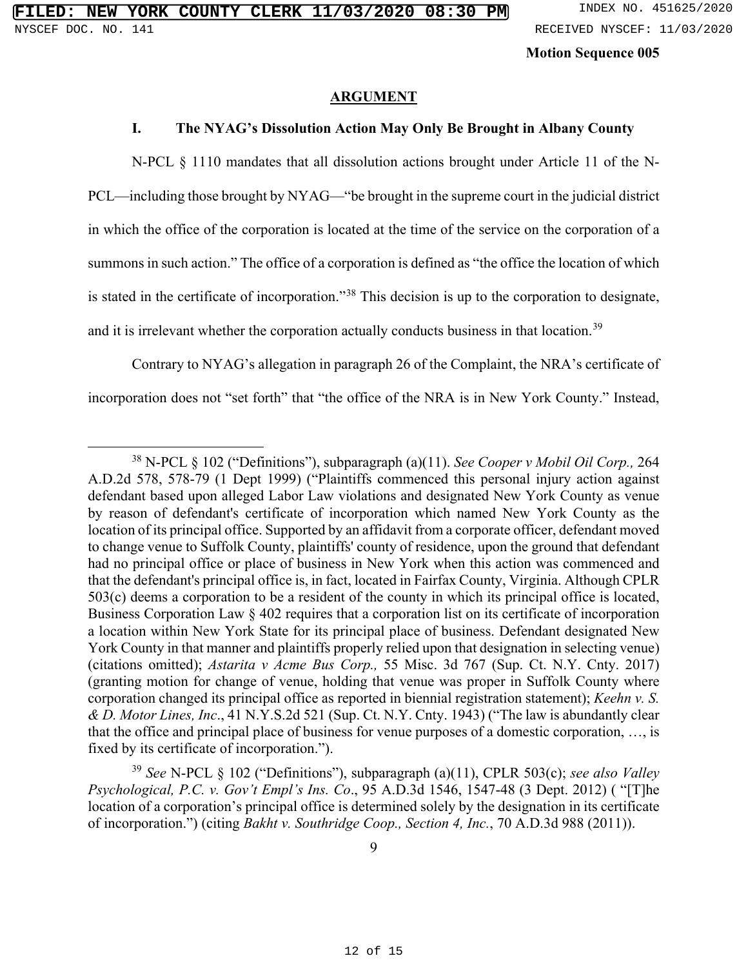#### **ARGUMENT**

### **I. The NYAG's Dissolution Action May Only Be Brought in Albany County**

N-PCL § 1110 mandates that all dissolution actions brought under Article 11 of the N-PCL—including those brought by NYAG—"be brought in the supreme court in the judicial district in which the office of the corporation is located at the time of the service on the corporation of a summons in such action." The office of a corporation is defined as "the office the location of which is stated in the certificate of incorporation."[38](#page--1-28) This decision is up to the corporation to designate, and it is irrelevant whether the corporation actually conducts business in that location.<sup>[39](#page--1-29)</sup>

Contrary to NYAG's allegation in paragraph 26 of the Complaint, the NRA's certificate of incorporation does not "set forth" that "the office of the NRA is in New York County." Instead,

<sup>38</sup> N-PCL § 102 ("Definitions"), subparagraph (a)(11). *See Cooper v Mobil Oil Corp.,* 264 A.D.2d 578, 578-79 (1 Dept 1999) ("Plaintiffs commenced this personal injury action against defendant based upon alleged Labor Law violations and designated New York County as venue by reason of defendant's certificate of incorporation which named New York County as the location of its principal office. Supported by an affidavit from a corporate officer, defendant moved to change venue to Suffolk County, plaintiffs' county of residence, upon the ground that defendant had no principal office or place of business in New York when this action was commenced and that the defendant's principal office is, in fact, located in Fairfax County, Virginia. Although CPLR 503(c) deems a corporation to be a resident of the county in which its principal office is located, Business Corporation Law § 402 requires that a corporation list on its certificate of incorporation a location within New York State for its principal place of business. Defendant designated New York County in that manner and plaintiffs properly relied upon that designation in selecting venue) (citations omitted); *Astarita v Acme Bus Corp.,* 55 Misc. 3d 767 (Sup. Ct. N.Y. Cnty. 2017) (granting motion for change of venue, holding that venue was proper in Suffolk County where corporation changed its principal office as reported in biennial registration statement); *Keehn v. S. & D. Motor Lines, Inc*., 41 N.Y.S.2d 521 (Sup. Ct. N.Y. Cnty. 1943) ("The law is abundantly clear that the office and principal place of business for venue purposes of a domestic corporation, …, is fixed by its certificate of incorporation.").

<sup>39</sup> *See* N-PCL § 102 ("Definitions"), subparagraph (a)(11), CPLR 503(c); *see also Valley Psychological, P.C. v. Gov't Empl's Ins. Co*., 95 A.D.3d 1546, 1547-48 (3 Dept. 2012) ( "[T]he location of a corporation's principal office is determined solely by the designation in its certificate of incorporation.") (citing *Bakht v. Southridge Coop., Section 4, Inc.*, 70 A.D.3d 988 (2011)).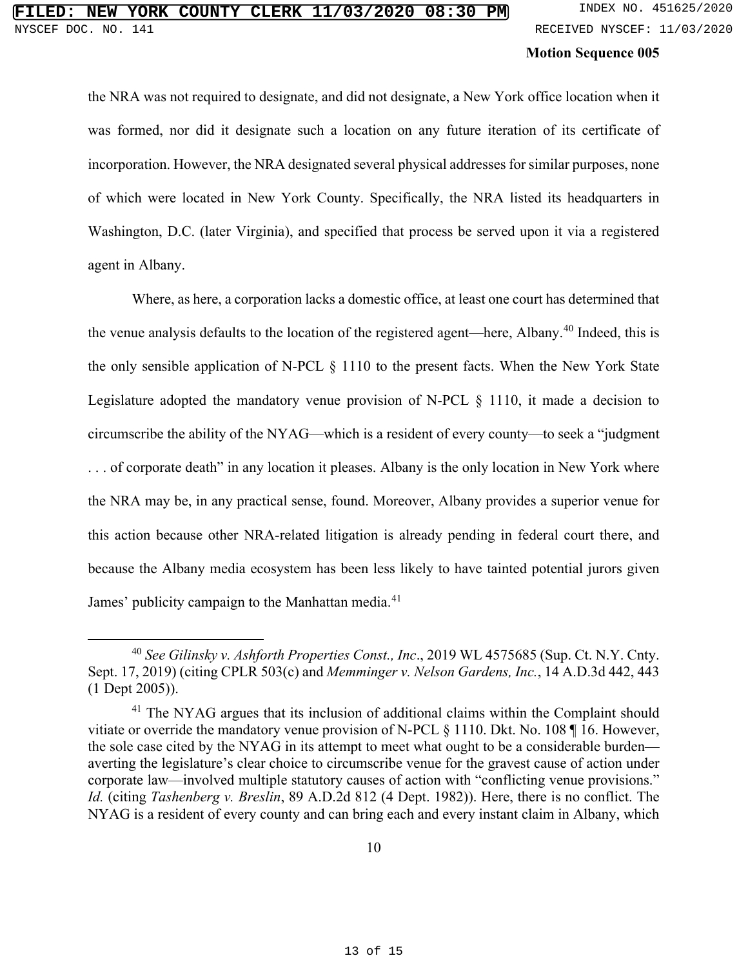the NRA was not required to designate, and did not designate, a New York office location when it was formed, nor did it designate such a location on any future iteration of its certificate of incorporation. However, the NRA designated several physical addresses for similar purposes, none of which were located in New York County. Specifically, the NRA listed its headquarters in Washington, D.C. (later Virginia), and specified that process be served upon it via a registered agent in Albany.

Where, as here, a corporation lacks a domestic office, at least one court has determined that the venue analysis defaults to the location of the registered agent—here, Albany.<sup>[40](#page--1-30)</sup> Indeed, this is the only sensible application of N-PCL § 1110 to the present facts. When the New York State Legislature adopted the mandatory venue provision of N-PCL § 1110, it made a decision to circumscribe the ability of the NYAG—which is a resident of every county—to seek a "judgment . . . of corporate death" in any location it pleases. Albany is the only location in New York where the NRA may be, in any practical sense, found. Moreover, Albany provides a superior venue for this action because other NRA-related litigation is already pending in federal court there, and because the Albany media ecosystem has been less likely to have tainted potential jurors given James' publicity campaign to the Manhattan media.<sup>[41](#page--1-31)</sup>

<sup>40</sup> *See Gilinsky v. Ashforth Properties Const., Inc*., 2019 WL 4575685 (Sup. Ct. N.Y. Cnty. Sept. 17, 2019) (citing CPLR 503(c) and *Memminger v. Nelson Gardens, Inc.*, 14 A.D.3d 442, 443 (1 Dept 2005)).

<sup>&</sup>lt;sup>41</sup> The NYAG argues that its inclusion of additional claims within the Complaint should vitiate or override the mandatory venue provision of N-PCL § 1110. Dkt. No. 108 ¶ 16. However, the sole case cited by the NYAG in its attempt to meet what ought to be a considerable burden averting the legislature's clear choice to circumscribe venue for the gravest cause of action under corporate law—involved multiple statutory causes of action with "conflicting venue provisions." *Id.* (citing *Tashenberg v. Breslin*, 89 A.D.2d 812 (4 Dept. 1982)). Here, there is no conflict. The NYAG is a resident of every county and can bring each and every instant claim in Albany, which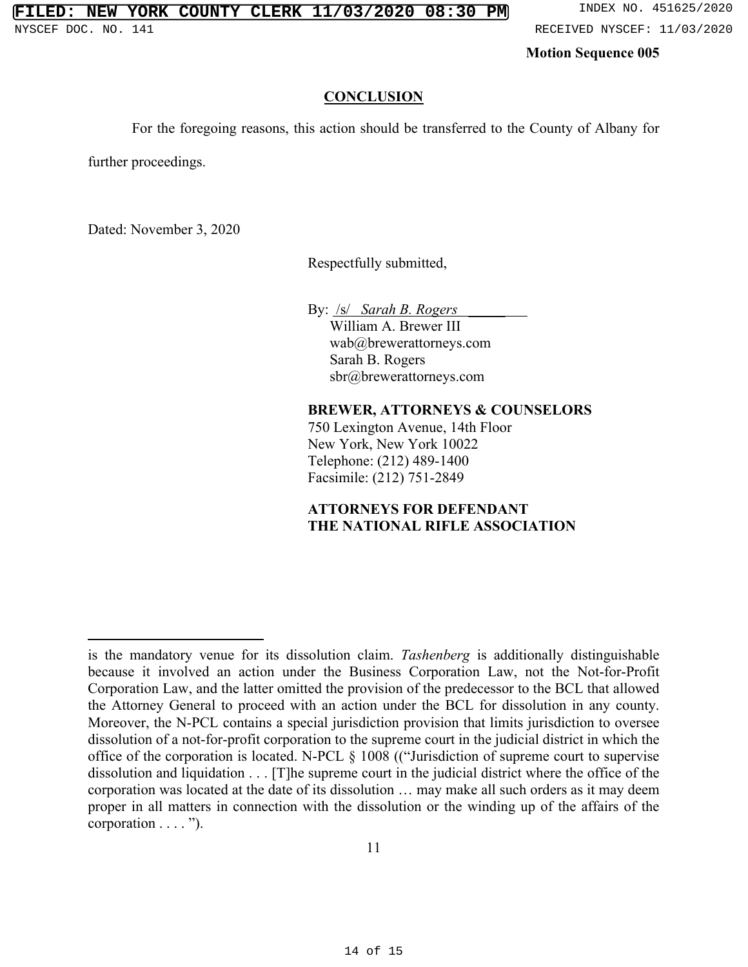#### **CONCLUSION**

For the foregoing reasons, this action should be transferred to the County of Albany for

further proceedings.

Dated: November 3, 2020

Respectfully submitted,

By: /s/ *Sarah B. Rogers* \_\_\_\_\_ William A. Brewer III wab@brewerattorneys.com Sarah B. Rogers sbr@brewerattorneys.com

#### **BREWER, ATTORNEYS & COUNSELORS**

750 Lexington Avenue, 14th Floor New York, New York 10022 Telephone: (212) 489-1400 Facsimile: (212) 751-2849

### **ATTORNEYS FOR DEFENDANT THE NATIONAL RIFLE ASSOCIATION**

is the mandatory venue for its dissolution claim. *Tashenberg* is additionally distinguishable because it involved an action under the Business Corporation Law, not the Not-for-Profit Corporation Law, and the latter omitted the provision of the predecessor to the BCL that allowed the Attorney General to proceed with an action under the BCL for dissolution in any county. Moreover, the N-PCL contains a special jurisdiction provision that limits jurisdiction to oversee dissolution of a not-for-profit corporation to the supreme court in the judicial district in which the office of the corporation is located. N-PCL § 1008 (("Jurisdiction of supreme court to supervise dissolution and liquidation . . . [T]he supreme court in the judicial district where the office of the corporation was located at the date of its dissolution … may make all such orders as it may deem proper in all matters in connection with the dissolution or the winding up of the affairs of the corporation . . . . ").